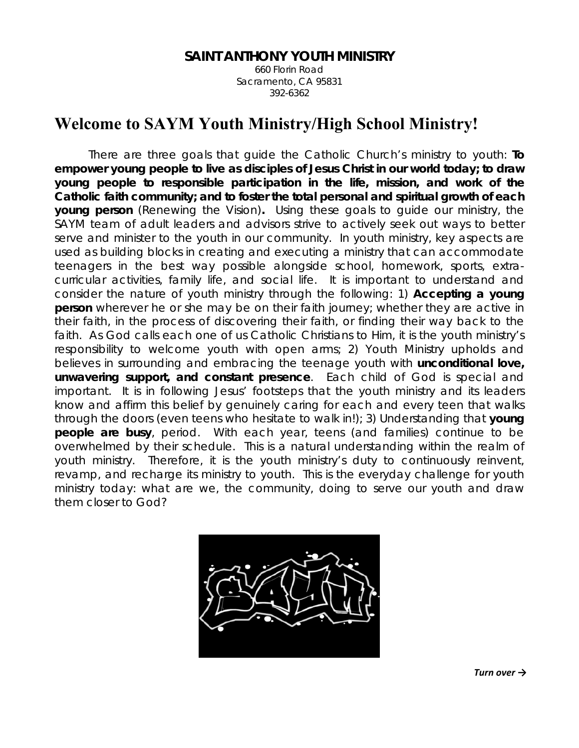## **SAINT ANTHONY YOUTH MINISTRY**

660 Florin Road Sacramento, CA 95831 392-6362

# **Welcome to SAYM Youth Ministry/High School Ministry!**

There are three goals that guide the Catholic Church's ministry to youth: **To empower young people to live as disciples of Jesus Christ in our world today; to draw young people to responsible participation in the life, mission, and work of the Catholic faith community; and to foster the total personal and spiritual growth of each young person** (*Renewing the Vision*)**.** Using these goals to guide our ministry, the SAYM team of adult leaders and advisors strive to actively seek out ways to better serve and minister to the youth in our community. In youth ministry, key aspects are used as building blocks in creating and executing a ministry that can accommodate teenagers in the best way possible alongside school, homework, sports, extracurricular activities, family life, and social life. It is important to understand and consider the nature of youth ministry through the following: 1) **Accepting a young person** wherever he or she may be on their faith journey; whether they are active in their faith, in the process of discovering their faith, or finding their way back to the faith. As God calls each one of us Catholic Christians to Him, it is the youth ministry's responsibility to welcome youth with open arms; 2) Youth Ministry upholds and believes in surrounding and embracing the teenage youth with *unconditional* **love,**  *unwavering* **support, and** *constant* **presence**. Each child of God is special and important. It is in following Jesus' footsteps that the youth ministry and its leaders know and affirm this belief by genuinely caring for each and every teen that walks through the doors (even teens who hesitate to walk in!); 3) Understanding that **young people are busy**, period. With each year, teens (and families) continue to be overwhelmed by their schedule. This is a natural understanding within the realm of youth ministry. Therefore, it is the youth ministry's duty to continuously reinvent, revamp, and recharge its ministry to youth. This is the everyday challenge for youth ministry today: what are we, the community, doing to serve our youth and draw them closer to God?



*Turn over →*